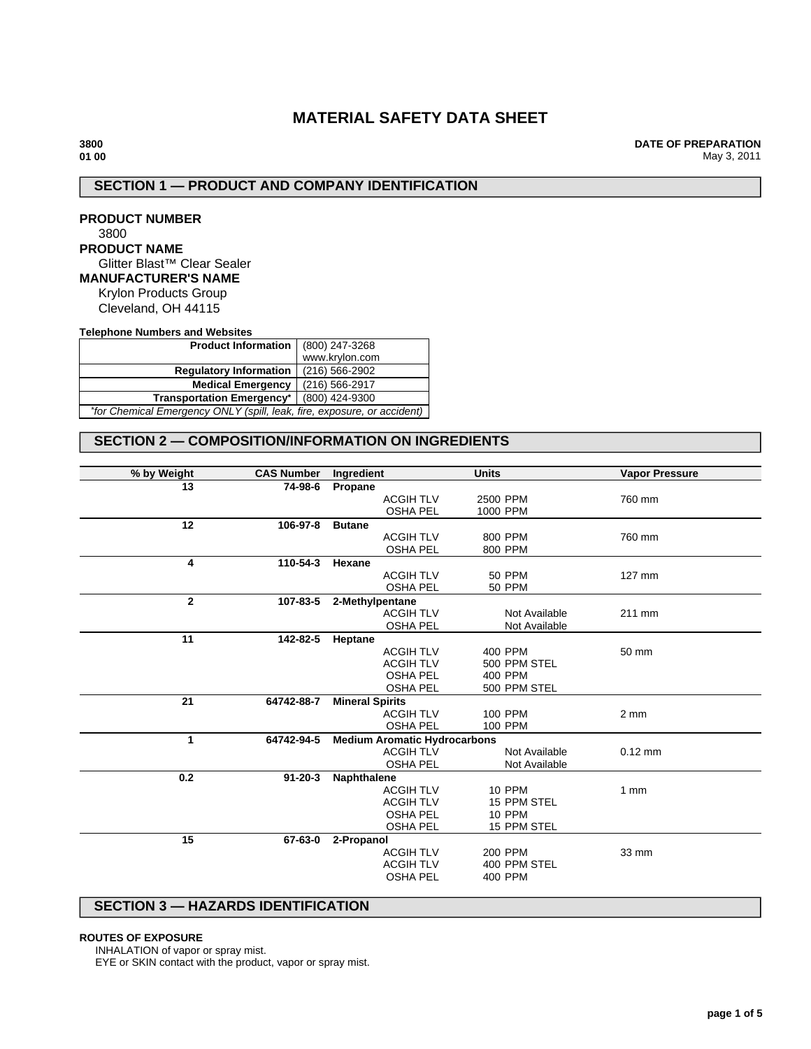# **MATERIAL SAFETY DATA SHEET**

**DATE OF PREPARATION** May 3, 2011

# **SECTION 1 — PRODUCT AND COMPANY IDENTIFICATION**

**PRODUCT NUMBER** 3800 **PRODUCT NAME** Glitter Blast™ Clear Sealer **MANUFACTURER'S NAME** Krylon Products Group Cleveland, OH 44115

**Telephone Numbers and Websites**

| <b>Product Information</b> $(800)$ 247-3268                             |                |  |  |
|-------------------------------------------------------------------------|----------------|--|--|
|                                                                         | www.krylon.com |  |  |
| <b>Regulatory Information</b>                                           | (216) 566-2902 |  |  |
| <b>Medical Emergency</b>                                                | (216) 566-2917 |  |  |
| (800) 424-9300<br><b>Transportation Emergency*</b>                      |                |  |  |
| *for Chemical Emergency ONLY (spill, leak, fire, exposure, or accident) |                |  |  |

# **SECTION 2 — COMPOSITION/INFORMATION ON INGREDIENTS**

| % by Weight  | <b>CAS Number</b> | Ingredient                          | <b>Units</b>   | <b>Vapor Pressure</b> |
|--------------|-------------------|-------------------------------------|----------------|-----------------------|
| 13           | 74-98-6           | Propane                             |                |                       |
|              |                   | <b>ACGIH TLV</b>                    | 2500 PPM       | 760 mm                |
|              |                   | <b>OSHA PEL</b>                     | 1000 PPM       |                       |
| 12           | 106-97-8          | <b>Butane</b>                       |                |                       |
|              |                   | <b>ACGIH TLV</b>                    | 800 PPM        | 760 mm                |
|              |                   | <b>OSHA PEL</b>                     | 800 PPM        |                       |
| 4            | 110-54-3          | Hexane                              |                |                       |
|              |                   | <b>ACGIH TLV</b>                    | <b>50 PPM</b>  | 127 mm                |
|              |                   | <b>OSHA PEL</b>                     | <b>50 PPM</b>  |                       |
| $\mathbf{2}$ | 107-83-5          | 2-Methylpentane                     |                |                       |
|              |                   | <b>ACGIH TLV</b>                    | Not Available  | 211 mm                |
|              |                   | <b>OSHA PEL</b>                     | Not Available  |                       |
| 11           | 142-82-5          | Heptane                             |                |                       |
|              |                   | <b>ACGIH TLV</b>                    | 400 PPM        | 50 mm                 |
|              |                   | <b>ACGIH TLV</b>                    | 500 PPM STEL   |                       |
|              |                   | <b>OSHA PEL</b>                     | 400 PPM        |                       |
|              |                   | <b>OSHA PEL</b>                     | 500 PPM STEL   |                       |
| 21           | 64742-88-7        | <b>Mineral Spirits</b>              |                |                       |
|              |                   | <b>ACGIH TLV</b>                    | <b>100 PPM</b> | $2 \, \text{mm}$      |
|              |                   | <b>OSHA PEL</b>                     | <b>100 PPM</b> |                       |
| 1            | 64742-94-5        | <b>Medium Aromatic Hydrocarbons</b> |                |                       |
|              |                   | <b>ACGIH TLV</b>                    | Not Available  | $0.12$ mm             |
|              |                   | <b>OSHA PEL</b>                     | Not Available  |                       |
| 0.2          | $91 - 20 - 3$     | Naphthalene                         |                |                       |
|              |                   | <b>ACGIH TLV</b>                    | <b>10 PPM</b>  | 1mm                   |
|              |                   | <b>ACGIH TLV</b>                    | 15 PPM STEL    |                       |
|              |                   | <b>OSHA PEL</b>                     | <b>10 PPM</b>  |                       |
|              |                   | <b>OSHA PEL</b>                     | 15 PPM STEL    |                       |
| 15           | 67-63-0           | 2-Propanol                          |                |                       |
|              |                   | <b>ACGIH TLV</b>                    | <b>200 PPM</b> | 33 mm                 |
|              |                   | <b>ACGIH TLV</b>                    | 400 PPM STEL   |                       |
|              |                   | <b>OSHA PEL</b>                     | 400 PPM        |                       |
|              |                   |                                     |                |                       |

# **SECTION 3 — HAZARDS IDENTIFICATION**

#### **ROUTES OF EXPOSURE**

INHALATION of vapor or spray mist.

EYE or SKIN contact with the product, vapor or spray mist.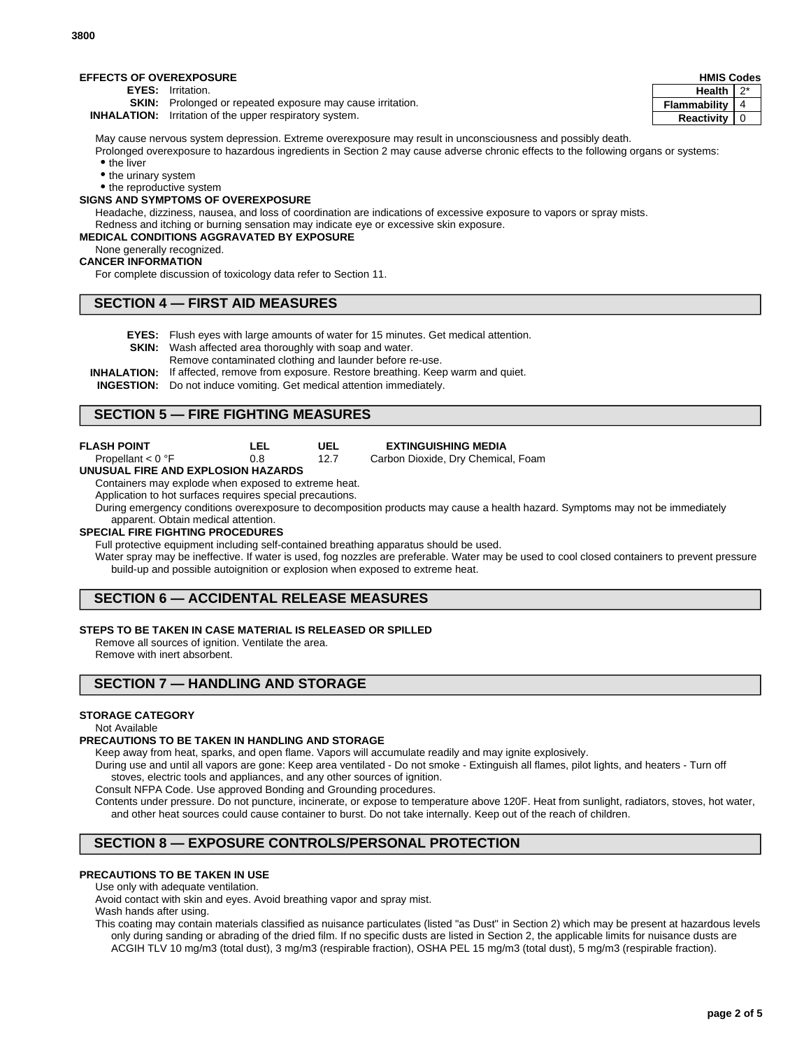| <b>EFFECTS OF OVEREXPOSURE</b><br><b>HMIS Codes</b> |                                                                   |                |     |
|-----------------------------------------------------|-------------------------------------------------------------------|----------------|-----|
| <b>EYES:</b>                                        | Irritation.                                                       | Health         | ົດ* |
|                                                     | <b>SKIN:</b> Prolonged or repeated exposure may cause irritation. | Flammability I |     |
|                                                     | <b>INHALATION:</b> Irritation of the upper respiratory system.    | Reactivity   0 |     |

May cause nervous system depression. Extreme overexposure may result in unconsciousness and possibly death.

Prolonged overexposure to hazardous ingredients in Section 2 may cause adverse chronic effects to the following organs or systems: • the liver

• the urinary system

• the reproductive system

#### **SIGNS AND SYMPTOMS OF OVEREXPOSURE**

Headache, dizziness, nausea, and loss of coordination are indications of excessive exposure to vapors or spray mists. Redness and itching or burning sensation may indicate eye or excessive skin exposure.

#### **MEDICAL CONDITIONS AGGRAVATED BY EXPOSURE**

### None generally recognized.

#### **CANCER INFORMATION**

For complete discussion of toxicology data refer to Section 11.

# **SECTION 4 — FIRST AID MEASURES**

**EYES:** Flush eyes with large amounts of water for 15 minutes. Get medical attention.

**UEL** 12.7

- **SKIN:** Wash affected area thoroughly with soap and water.
- Remove contaminated clothing and launder before re-use.
- **INHALATION:** If affected, remove from exposure. Restore breathing. Keep warm and quiet.
- **INGESTION:** Do not induce vomiting. Get medical attention immediately.

# **SECTION 5 — FIRE FIGHTING MEASURES**

**FLASH POINT**

**LEL**

0.8 Propellant < 0 °F

**UNUSUAL FIRE AND EXPLOSION HAZARDS**

Containers may explode when exposed to extreme heat. Application to hot surfaces requires special precautions.

During emergency conditions overexposure to decomposition products may cause a health hazard. Symptoms may not be immediately apparent. Obtain medical attention.

#### **SPECIAL FIRE FIGHTING PROCEDURES**

Full protective equipment including self-contained breathing apparatus should be used.

Water spray may be ineffective. If water is used, fog nozzles are preferable. Water may be used to cool closed containers to prevent pressure build-up and possible autoignition or explosion when exposed to extreme heat.

# **SECTION 6 — ACCIDENTAL RELEASE MEASURES**

## **STEPS TO BE TAKEN IN CASE MATERIAL IS RELEASED OR SPILLED**

Remove all sources of ignition. Ventilate the area. Remove with inert absorbent.

# **SECTION 7 — HANDLING AND STORAGE**

#### **STORAGE CATEGORY**

#### Not Available

#### **PRECAUTIONS TO BE TAKEN IN HANDLING AND STORAGE**

Keep away from heat, sparks, and open flame. Vapors will accumulate readily and may ignite explosively.

During use and until all vapors are gone: Keep area ventilated - Do not smoke - Extinguish all flames, pilot lights, and heaters - Turn off stoves, electric tools and appliances, and any other sources of ignition.

Consult NFPA Code. Use approved Bonding and Grounding procedures.

Contents under pressure. Do not puncture, incinerate, or expose to temperature above 120F. Heat from sunlight, radiators, stoves, hot water, and other heat sources could cause container to burst. Do not take internally. Keep out of the reach of children.

# **SECTION 8 — EXPOSURE CONTROLS/PERSONAL PROTECTION**

#### **PRECAUTIONS TO BE TAKEN IN USE**

Use only with adequate ventilation.

Avoid contact with skin and eyes. Avoid breathing vapor and spray mist.

Wash hands after using.

This coating may contain materials classified as nuisance particulates (listed "as Dust" in Section 2) which may be present at hazardous levels only during sanding or abrading of the dried film. If no specific dusts are listed in Section 2, the applicable limits for nuisance dusts are ACGIH TLV 10 mg/m3 (total dust), 3 mg/m3 (respirable fraction), OSHA PEL 15 mg/m3 (total dust), 5 mg/m3 (respirable fraction).

**3800**

**EXTINGUISHING MEDIA**

Carbon Dioxide, Dry Chemical, Foam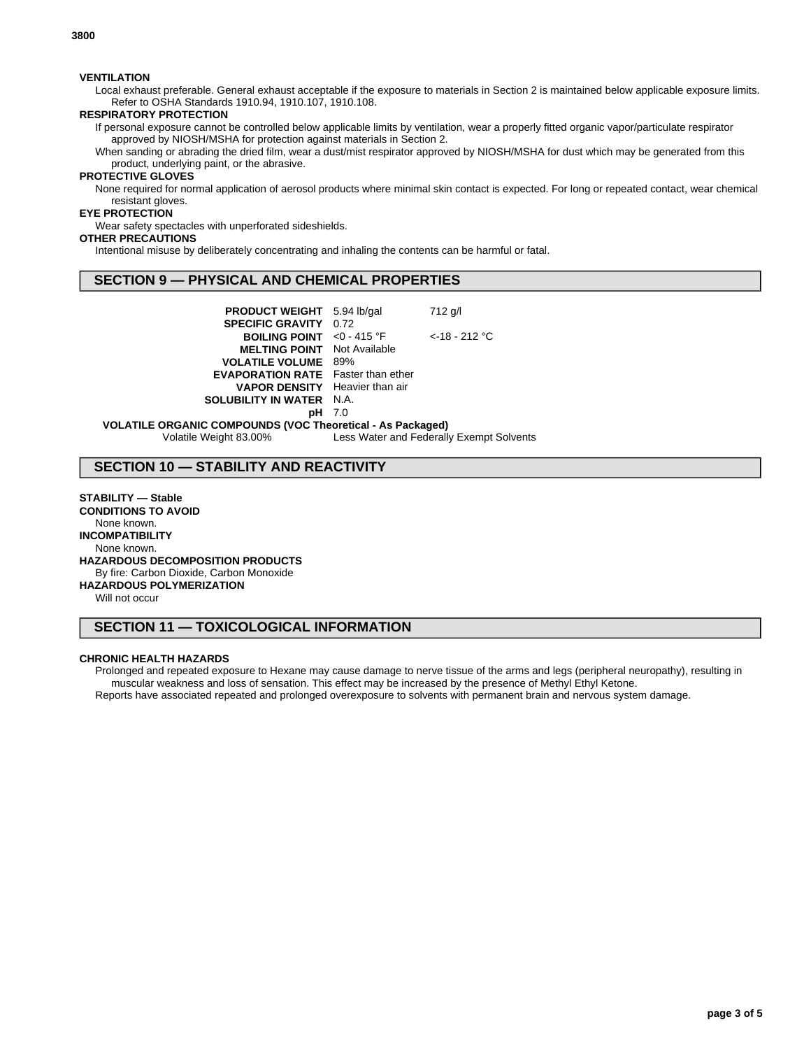### **VENTILATION**

Local exhaust preferable. General exhaust acceptable if the exposure to materials in Section 2 is maintained below applicable exposure limits. Refer to OSHA Standards 1910.94, 1910.107, 1910.108.

### **RESPIRATORY PROTECTION**

If personal exposure cannot be controlled below applicable limits by ventilation, wear a properly fitted organic vapor/particulate respirator approved by NIOSH/MSHA for protection against materials in Section 2.

When sanding or abrading the dried film, wear a dust/mist respirator approved by NIOSH/MSHA for dust which may be generated from this product, underlying paint, or the abrasive.

# **PROTECTIVE GLOVES**

None required for normal application of aerosol products where minimal skin contact is expected. For long or repeated contact, wear chemical resistant gloves.

# **EYE PROTECTION**

Wear safety spectacles with unperforated sideshields.

# **OTHER PRECAUTIONS**

Intentional misuse by deliberately concentrating and inhaling the contents can be harmful or fatal.

# **SECTION 9 — PHYSICAL AND CHEMICAL PROPERTIES**

| <b>PRODUCT WEIGHT</b> 5.94 lb/gal                                                  |  | 712 g/l          |  |
|------------------------------------------------------------------------------------|--|------------------|--|
| <b>SPECIFIC GRAVITY 0.72</b><br><b>BOILING POINT</b> <0 - 415 $^{\circ}$ F         |  | $<$ -18 - 212 °C |  |
| <b>MELTING POINT</b> Not Available<br><b>VOLATILE VOLUME 89%</b>                   |  |                  |  |
| <b>EVAPORATION RATE</b> Faster than ether<br><b>VAPOR DENSITY</b> Heavier than air |  |                  |  |
| <b>SOLUBILITY IN WATER N.A.</b>                                                    |  |                  |  |
| <b>pH</b> 7.0                                                                      |  |                  |  |
| <b>VOLATILE ORGANIC COMPOUNDS (VOC Theoretical - As Packaged)</b>                  |  |                  |  |

Volatile Weight 83.00% Less Water and Federally Exempt Solvents

# **SECTION 10 — STABILITY AND REACTIVITY**

**STABILITY — Stable CONDITIONS TO AVOID** None known. **INCOMPATIBILITY** None known. **HAZARDOUS DECOMPOSITION PRODUCTS** By fire: Carbon Dioxide, Carbon Monoxide **HAZARDOUS POLYMERIZATION**

Will not occur

# **SECTION 11 — TOXICOLOGICAL INFORMATION**

#### **CHRONIC HEALTH HAZARDS**

Prolonged and repeated exposure to Hexane may cause damage to nerve tissue of the arms and legs (peripheral neuropathy), resulting in muscular weakness and loss of sensation. This effect may be increased by the presence of Methyl Ethyl Ketone. Reports have associated repeated and prolonged overexposure to solvents with permanent brain and nervous system damage.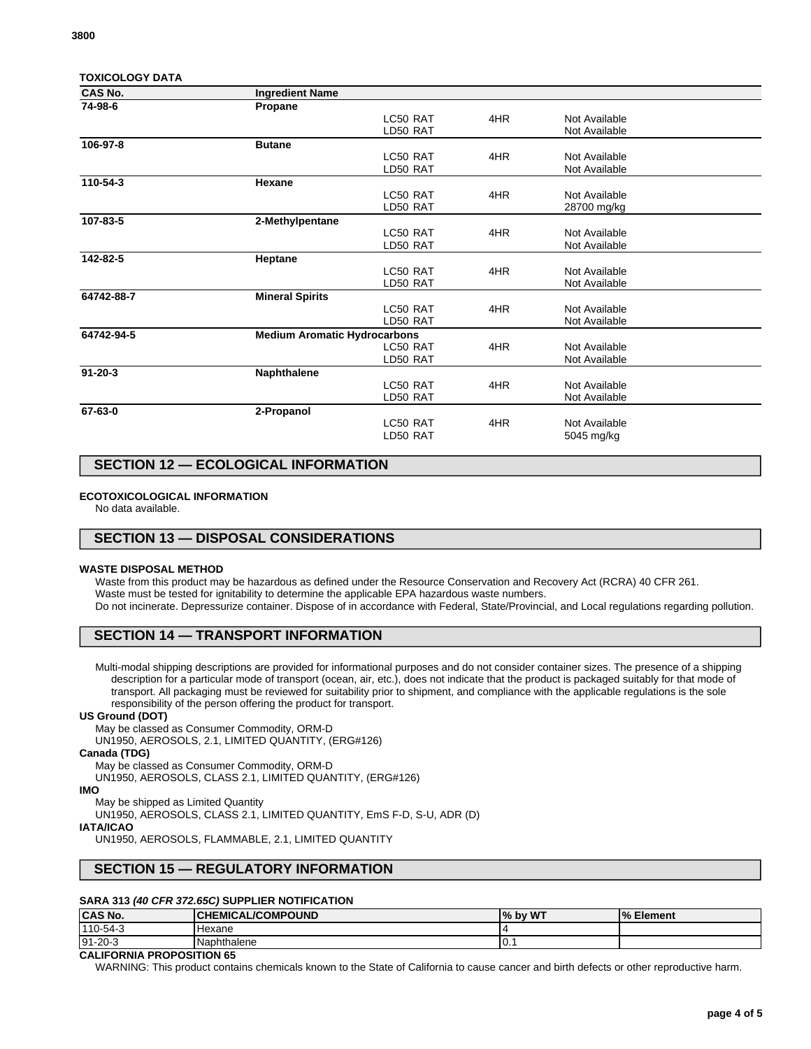| <b>CAS No.</b> | <b>Ingredient Name</b>              |          |     |               |  |
|----------------|-------------------------------------|----------|-----|---------------|--|
| 74-98-6        | Propane                             |          |     |               |  |
|                |                                     | LC50 RAT | 4HR | Not Available |  |
|                |                                     | LD50 RAT |     | Not Available |  |
| 106-97-8       | <b>Butane</b>                       |          |     |               |  |
|                |                                     | LC50 RAT | 4HR | Not Available |  |
|                |                                     | LD50 RAT |     | Not Available |  |
| 110-54-3       | Hexane                              |          |     |               |  |
|                |                                     | LC50 RAT | 4HR | Not Available |  |
|                |                                     | LD50 RAT |     | 28700 mg/kg   |  |
| 107-83-5       | 2-Methylpentane                     |          |     |               |  |
|                |                                     | LC50 RAT | 4HR | Not Available |  |
|                |                                     | LD50 RAT |     | Not Available |  |
| 142-82-5       | Heptane                             |          |     |               |  |
|                |                                     | LC50 RAT | 4HR | Not Available |  |
|                |                                     | LD50 RAT |     | Not Available |  |
| 64742-88-7     | <b>Mineral Spirits</b>              |          |     |               |  |
|                |                                     | LC50 RAT | 4HR | Not Available |  |
|                |                                     | LD50 RAT |     | Not Available |  |
| 64742-94-5     | <b>Medium Aromatic Hydrocarbons</b> |          |     |               |  |
|                |                                     | LC50 RAT | 4HR | Not Available |  |
|                |                                     | LD50 RAT |     | Not Available |  |
| $91 - 20 - 3$  | Naphthalene                         |          |     |               |  |
|                |                                     | LC50 RAT | 4HR | Not Available |  |
|                |                                     | LD50 RAT |     | Not Available |  |
| 67-63-0        | 2-Propanol                          |          |     |               |  |
|                |                                     | LC50 RAT | 4HR | Not Available |  |
|                |                                     | LD50 RAT |     | 5045 mg/kg    |  |
|                |                                     |          |     |               |  |

# **SECTION 12 — ECOLOGICAL INFORMATION**

#### **ECOTOXICOLOGICAL INFORMATION**

No data available.

# **SECTION 13 — DISPOSAL CONSIDERATIONS**

#### **WASTE DISPOSAL METHOD**

Waste from this product may be hazardous as defined under the Resource Conservation and Recovery Act (RCRA) 40 CFR 261. Waste must be tested for ignitability to determine the applicable EPA hazardous waste numbers. Do not incinerate. Depressurize container. Dispose of in accordance with Federal, State/Provincial, and Local regulations regarding pollution.

## **SECTION 14 — TRANSPORT INFORMATION**

Multi-modal shipping descriptions are provided for informational purposes and do not consider container sizes. The presence of a shipping description for a particular mode of transport (ocean, air, etc.), does not indicate that the product is packaged suitably for that mode of transport. All packaging must be reviewed for suitability prior to shipment, and compliance with the applicable regulations is the sole responsibility of the person offering the product for transport.

#### **US Ground (DOT)**

May be classed as Consumer Commodity, ORM-D

UN1950, AEROSOLS, 2.1, LIMITED QUANTITY, (ERG#126)

### **Canada (TDG)**

May be classed as Consumer Commodity, ORM-D

UN1950, AEROSOLS, CLASS 2.1, LIMITED QUANTITY, (ERG#126)

#### **IMO**

May be shipped as Limited Quantity

UN1950, AEROSOLS, CLASS 2.1, LIMITED QUANTITY, EmS F-D, S-U, ADR (D)

### **IATA/ICAO**

UN1950, AEROSOLS, FLAMMABLE, 2.1, LIMITED QUANTITY

# **SECTION 15 — REGULATORY INFORMATION**

### **SARA 313 (40 CFR 372.65C) SUPPLIER NOTIFICATION**

| <b>CAS No.</b> | <b>CHEMICAL/COMPOUND</b> | I% by WT | $\frac{9}{6}$<br>Element |
|----------------|--------------------------|----------|--------------------------|
| 110-54-3       | Hexane                   |          |                          |
| $91 - 20 - 3$  | Naphthalene              | ו. ט     |                          |

## **CALIFORNIA PROPOSITION 65**

WARNING: This product contains chemicals known to the State of California to cause cancer and birth defects or other reproductive harm.